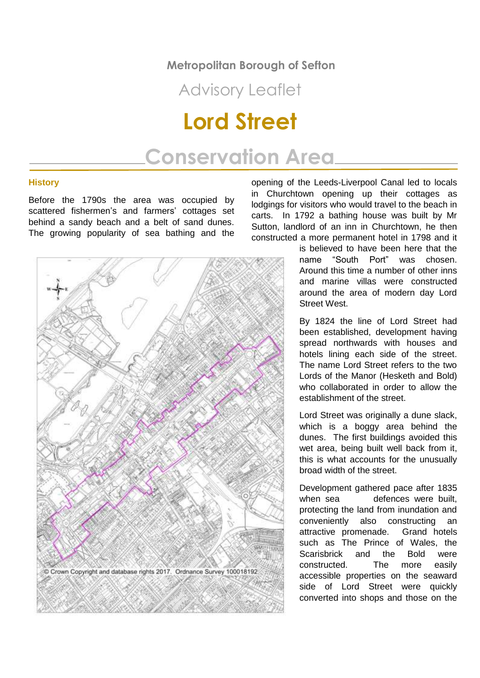#### **Metropolitan Borough of Sefton**

### Advisory Leaflet

# **Lord Street**

## **Conservation Area**

#### **History**

Before the 1790s the area was occupied by scattered fishermen's and farmers' cottages set behind a sandy beach and a belt of sand dunes. The growing popularity of sea bathing and the



opening of the Leeds-Liverpool Canal led to locals in Churchtown opening up their cottages as lodgings for visitors who would travel to the beach in carts. In 1792 a bathing house was built by Mr Sutton, landlord of an inn in Churchtown, he then constructed a more permanent hotel in 1798 and it

> is believed to have been here that the name "South Port" was chosen. Around this time a number of other inns and marine villas were constructed around the area of modern day Lord Street West.

> By 1824 the line of Lord Street had been established, development having spread northwards with houses and hotels lining each side of the street. The name Lord Street refers to the two Lords of the Manor (Hesketh and Bold) who collaborated in order to allow the establishment of the street.

> Lord Street was originally a dune slack, which is a boggy area behind the dunes. The first buildings avoided this wet area, being built well back from it, this is what accounts for the unusually broad width of the street.

> Development gathered pace after 1835 when sea defences were built. protecting the land from inundation and conveniently also constructing an attractive promenade. Grand hotels such as The Prince of Wales, the Scarisbrick and the Bold were constructed. The more easily accessible properties on the seaward side of Lord Street were quickly converted into shops and those on the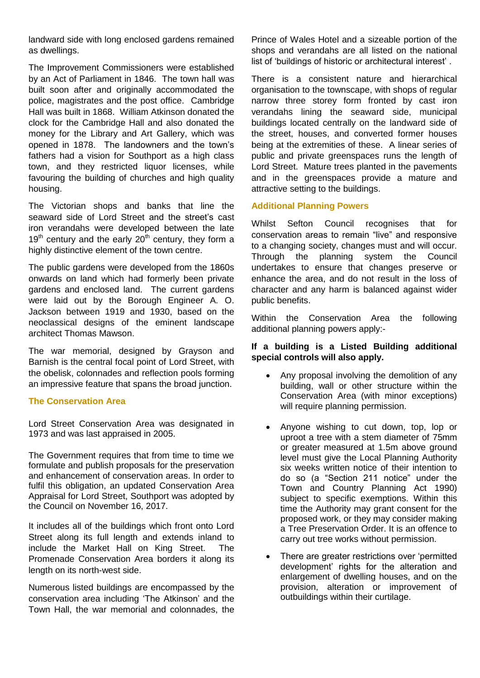landward side with long enclosed gardens remained as dwellings.

The Improvement Commissioners were established by an Act of Parliament in 1846. The town hall was built soon after and originally accommodated the police, magistrates and the post office. Cambridge Hall was built in 1868. William Atkinson donated the clock for the Cambridge Hall and also donated the money for the Library and Art Gallery, which was opened in 1878. The landowners and the town's fathers had a vision for Southport as a high class town, and they restricted liquor licenses, while favouring the building of churches and high quality housing.

The Victorian shops and banks that line the seaward side of Lord Street and the street's cast iron verandahs were developed between the late  $19<sup>th</sup>$  century and the early  $20<sup>th</sup>$  century, they form a highly distinctive element of the town centre.

The public gardens were developed from the 1860s onwards on land which had formerly been private gardens and enclosed land. The current gardens were laid out by the Borough Engineer A. O. Jackson between 1919 and 1930, based on the neoclassical designs of the eminent landscape architect Thomas Mawson.

The war memorial, designed by Grayson and Barnish is the central focal point of Lord Street, with the obelisk, colonnades and reflection pools forming an impressive feature that spans the broad junction.

#### **The Conservation Area**

Lord Street Conservation Area was designated in 1973 and was last appraised in 2005.

The Government requires that from time to time we formulate and publish proposals for the preservation and enhancement of conservation areas. In order to fulfil this obligation, an updated Conservation Area Appraisal for Lord Street, Southport was adopted by the Council on November 16, 2017.

It includes all of the buildings which front onto Lord Street along its full length and extends inland to include the Market Hall on King Street. The Promenade Conservation Area borders it along its length on its north-west side.

Numerous listed buildings are encompassed by the conservation area including 'The Atkinson' and the Town Hall, the war memorial and colonnades, the Prince of Wales Hotel and a sizeable portion of the shops and verandahs are all listed on the national list of 'buildings of historic or architectural interest' .

There is a consistent nature and hierarchical organisation to the townscape, with shops of regular narrow three storey form fronted by cast iron verandahs lining the seaward side, municipal buildings located centrally on the landward side of the street, houses, and converted former houses being at the extremities of these. A linear series of public and private greenspaces runs the length of Lord Street. Mature trees planted in the pavements and in the greenspaces provide a mature and attractive setting to the buildings.

#### **Additional Planning Powers**

Whilst Sefton Council recognises that for conservation areas to remain "live" and responsive to a changing society, changes must and will occur. Through the planning system the Council undertakes to ensure that changes preserve or enhance the area, and do not result in the loss of character and any harm is balanced against wider public benefits.

Within the Conservation Area the following additional planning powers apply:-

#### **If a building is a Listed Building additional special controls will also apply.**

- Any proposal involving the demolition of any building, wall or other structure within the Conservation Area (with minor exceptions) will require planning permission.
- Anyone wishing to cut down, top, lop or uproot a tree with a stem diameter of 75mm or greater measured at 1.5m above ground level must give the Local Planning Authority six weeks written notice of their intention to do so (a "Section 211 notice" under the Town and Country Planning Act 1990) subject to specific exemptions. Within this time the Authority may grant consent for the proposed work, or they may consider making a Tree Preservation Order. It is an offence to carry out tree works without permission.
- There are greater restrictions over 'permitted development' rights for the alteration and enlargement of dwelling houses, and on the provision, alteration or improvement of outbuildings within their curtilage.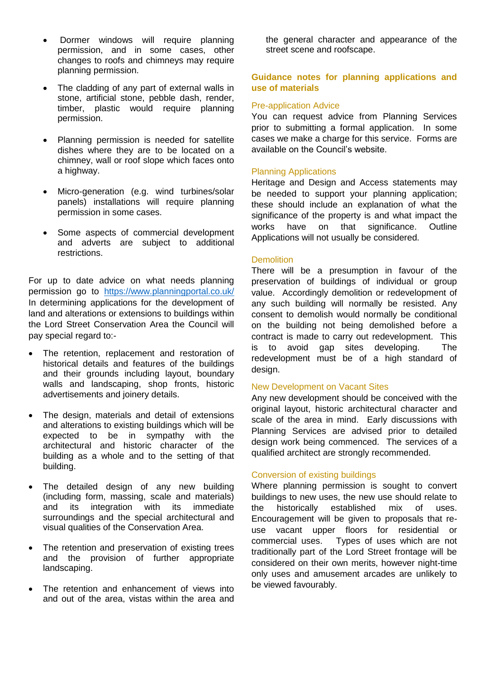- Dormer windows will require planning permission, and in some cases, other changes to roofs and chimneys may require planning permission.
- The cladding of any part of external walls in stone, artificial stone, pebble dash, render, timber, plastic would require planning permission.
- Planning permission is needed for satellite dishes where they are to be located on a chimney, wall or roof slope which faces onto a highway.
- Micro-generation (e.g. wind turbines/solar panels) installations will require planning permission in some cases.
- Some aspects of commercial development and adverts are subject to additional restrictions.

For up to date advice on what needs planning permission go to <https://www.planningportal.co.uk/> In determining applications for the development of land and alterations or extensions to buildings within the Lord Street Conservation Area the Council will pay special regard to:-

- The retention, replacement and restoration of historical details and features of the buildings and their grounds including layout, boundary walls and landscaping, shop fronts, historic advertisements and joinery details.
- The design, materials and detail of extensions and alterations to existing buildings which will be expected to be in sympathy with the architectural and historic character of the building as a whole and to the setting of that building.
- The detailed design of any new building (including form, massing, scale and materials) and its integration with its immediate surroundings and the special architectural and visual qualities of the Conservation Area.
- The retention and preservation of existing trees and the provision of further appropriate landscaping.
- The retention and enhancement of views into and out of the area, vistas within the area and

the general character and appearance of the street scene and roofscape.

#### **Guidance notes for planning applications and use of materials**

#### Pre-application Advice

You can request advice from Planning Services prior to submitting a formal application. In some cases we make a charge for this service. Forms are available on the Council's website.

#### Planning Applications

Heritage and Design and Access statements may be needed to support your planning application; these should include an explanation of what the significance of the property is and what impact the works have on that significance. Outline Applications will not usually be considered.

#### **Demolition**

There will be a presumption in favour of the preservation of buildings of individual or group value. Accordingly demolition or redevelopment of any such building will normally be resisted. Any consent to demolish would normally be conditional on the building not being demolished before a contract is made to carry out redevelopment. This is to avoid gap sites developing. The redevelopment must be of a high standard of design.

#### New Development on Vacant Sites

Any new development should be conceived with the original layout, historic architectural character and scale of the area in mind. Early discussions with Planning Services are advised prior to detailed design work being commenced. The services of a qualified architect are strongly recommended.

#### Conversion of existing buildings

Where planning permission is sought to convert buildings to new uses, the new use should relate to the historically established mix of uses. Encouragement will be given to proposals that reuse vacant upper floors for residential or commercial uses. Types of uses which are not traditionally part of the Lord Street frontage will be considered on their own merits, however night-time only uses and amusement arcades are unlikely to be viewed favourably.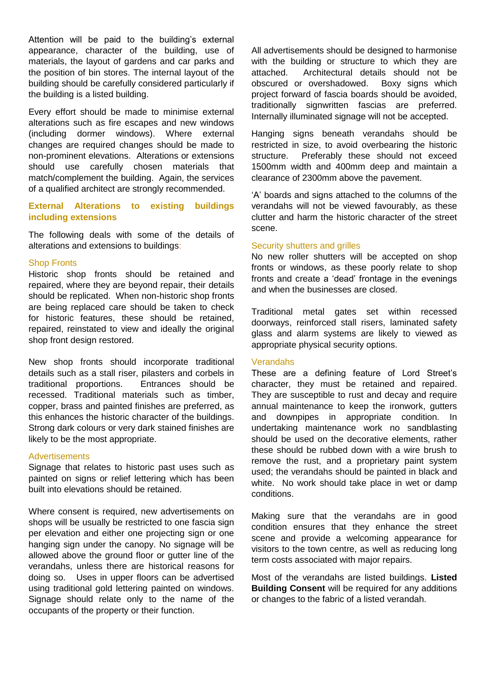Attention will be paid to the building's external appearance, character of the building, use of materials, the layout of gardens and car parks and the position of bin stores. The internal layout of the building should be carefully considered particularly if the building is a listed building.

Every effort should be made to minimise external alterations such as fire escapes and new windows (including dormer windows). Where external changes are required changes should be made to non-prominent elevations. Alterations or extensions should use carefully chosen materials that match/complement the building. Again, the services of a qualified architect are strongly recommended.

#### **External Alterations to existing buildings including extensions**

The following deals with some of the details of alterations and extensions to buildings:

#### Shop Fronts

Historic shop fronts should be retained and repaired, where they are beyond repair, their details should be replicated. When non-historic shop fronts are being replaced care should be taken to check for historic features, these should be retained, repaired, reinstated to view and ideally the original shop front design restored.

New shop fronts should incorporate traditional details such as a stall riser, pilasters and corbels in traditional proportions. Entrances should be recessed. Traditional materials such as timber, copper, brass and painted finishes are preferred, as this enhances the historic character of the buildings. Strong dark colours or very dark stained finishes are likely to be the most appropriate.

#### **Advertisements**

Signage that relates to historic past uses such as painted on signs or relief lettering which has been built into elevations should be retained.

Where consent is required, new advertisements on shops will be usually be restricted to one fascia sign per elevation and either one projecting sign or one hanging sign under the canopy. No signage will be allowed above the ground floor or gutter line of the verandahs, unless there are historical reasons for doing so. Uses in upper floors can be advertised using traditional gold lettering painted on windows. Signage should relate only to the name of the occupants of the property or their function.

All advertisements should be designed to harmonise with the building or structure to which they are attached. Architectural details should not be obscured or overshadowed. Boxy signs which project forward of fascia boards should be avoided, traditionally signwritten fascias are preferred. Internally illuminated signage will not be accepted.

Hanging signs beneath verandahs should be restricted in size, to avoid overbearing the historic structure. Preferably these should not exceed 1500mm width and 400mm deep and maintain a clearance of 2300mm above the pavement.

'A' boards and signs attached to the columns of the verandahs will not be viewed favourably, as these clutter and harm the historic character of the street scene.

#### Security shutters and grilles

No new roller shutters will be accepted on shop fronts or windows, as these poorly relate to shop fronts and create a 'dead' frontage in the evenings and when the businesses are closed.

Traditional metal gates set within recessed doorways, reinforced stall risers, laminated safety glass and alarm systems are likely to viewed as appropriate physical security options.

#### Verandahs

These are a defining feature of Lord Street's character, they must be retained and repaired. They are susceptible to rust and decay and require annual maintenance to keep the ironwork, gutters and downpipes in appropriate condition. In undertaking maintenance work no sandblasting should be used on the decorative elements, rather these should be rubbed down with a wire brush to remove the rust, and a proprietary paint system used; the verandahs should be painted in black and white. No work should take place in wet or damp conditions.

Making sure that the verandahs are in good condition ensures that they enhance the street scene and provide a welcoming appearance for visitors to the town centre, as well as reducing long term costs associated with major repairs.

Most of the verandahs are listed buildings. **Listed Building Consent** will be required for any additions or changes to the fabric of a listed verandah.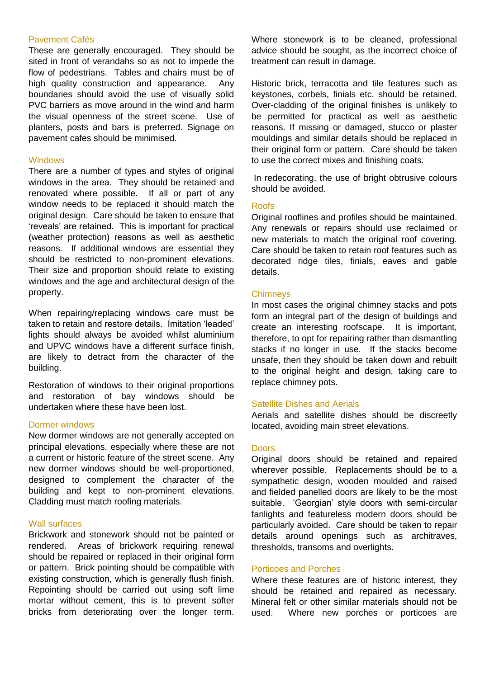#### Pavement Cafés

These are generally encouraged. They should be sited in front of verandahs so as not to impede the flow of pedestrians. Tables and chairs must be of high quality construction and appearance. Any boundaries should avoid the use of visually solid PVC barriers as move around in the wind and harm the visual openness of the street scene. Use of planters, posts and bars is preferred. Signage on pavement cafes should be minimised.

#### **Windows**

There are a number of types and styles of original windows in the area. They should be retained and renovated where possible. If all or part of any window needs to be replaced it should match the original design. Care should be taken to ensure that 'reveals' are retained. This is important for practical (weather protection) reasons as well as aesthetic reasons. If additional windows are essential they should be restricted to non-prominent elevations. Their size and proportion should relate to existing windows and the age and architectural design of the property.

When repairing/replacing windows care must be taken to retain and restore details. Imitation 'leaded' lights should always be avoided whilst aluminium and UPVC windows have a different surface finish, are likely to detract from the character of the building.

Restoration of windows to their original proportions and restoration of bay windows should be undertaken where these have been lost.

#### Dormer windows

New dormer windows are not generally accepted on principal elevations, especially where these are not a current or historic feature of the street scene. Any new dormer windows should be well-proportioned, designed to complement the character of the building and kept to non-prominent elevations. Cladding must match roofing materials.

#### Wall surfaces

Brickwork and stonework should not be painted or rendered. Areas of brickwork requiring renewal should be repaired or replaced in their original form or pattern. Brick pointing should be compatible with existing construction, which is generally flush finish. Repointing should be carried out using soft lime mortar without cement, this is to prevent softer bricks from deteriorating over the longer term. Where stonework is to be cleaned, professional advice should be sought, as the incorrect choice of treatment can result in damage.

Historic brick, terracotta and tile features such as keystones, corbels, finials etc. should be retained. Over-cladding of the original finishes is unlikely to be permitted for practical as well as aesthetic reasons. If missing or damaged, stucco or plaster mouldings and similar details should be replaced in their original form or pattern. Care should be taken to use the correct mixes and finishing coats.

In redecorating, the use of bright obtrusive colours should be avoided.

#### Roofs

Original rooflines and profiles should be maintained. Any renewals or repairs should use reclaimed or new materials to match the original roof covering. Care should be taken to retain roof features such as decorated ridge tiles, finials, eaves and gable details.

#### **Chimneys**

In most cases the original chimney stacks and pots form an integral part of the design of buildings and create an interesting roofscape. It is important, therefore, to opt for repairing rather than dismantling stacks if no longer in use. If the stacks become unsafe, then they should be taken down and rebuilt to the original height and design, taking care to replace chimney pots.

#### Satellite Dishes and Aerials

Aerials and satellite dishes should be discreetly located, avoiding main street elevations.

#### **Doors**

Original doors should be retained and repaired wherever possible. Replacements should be to a sympathetic design, wooden moulded and raised and fielded panelled doors are likely to be the most suitable. 'Georgian' style doors with semi-circular fanlights and featureless modern doors should be particularly avoided. Care should be taken to repair details around openings such as architraves, thresholds, transoms and overlights.

#### Porticoes and Porches

Where these features are of historic interest, they should be retained and repaired as necessary. Mineral felt or other similar materials should not be used. Where new porches or porticoes are